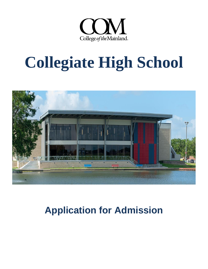

# **Collegiate High School**



## **Application for Admission**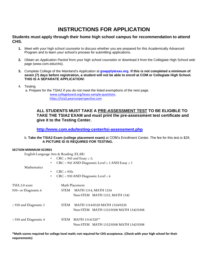## **INSTRUCTIONS FOR APPLICATION**

#### **Students must apply through their home high school campus for recommendation to attend CHS.**

- **1.** Meet with your high school counselor to discuss whether you are prepared for this Academically Advanced Program and to learn your school's process for submitting applications.
- **2.** Obtain an *Application Packet* from your high school counselor or download it from the Collegiate High School web page (www.com.edu/chs).
- **3.** Complete College of the Mainland's Application at **[goapplytexas.org.](https://goapplytexas.org/) If this is not completed a minimum of seven (7) days before registration, a student will not be able to enroll at COM or Collegiate High School. THIS IS A SEPARATE APPLICATION!**
- 4. Testing

a. Prepare for the TSIA2 if you do not meet the listed exemptions of the next page. [www.collegeboard.org/texas-sample-questions.](http://www.collegeboard.org/texas-sample-questions) [https://tsia2.pearsonperspective.com](https://tsia2.pearsonperspective.com/)

#### **ALL STUDENTS MUST TAKE A PRE-ASSESSMENT TEST TO BE ELIGIBLE TO TAKE THE TSIA2 EXAM and must print the pre-assessment test certificate and give it to the Testing Center.**

#### **<http://www.com.edu/testing-center/tsi-assessment.php>**

#### b. **Take the TSIA2 Exam (college placement exam)** at COM's Enrollment Center. The fee for this test is \$29.  **A PICTURE ID IS REQUIRED FOR TESTING.**

#### **SECTION MINIMUM SCORES**

English Language Arts & Reading (ELAR)

|                        | • CRC $\geq$ 945 and Essay $\geq$ 5;<br>$CRC < 945$ AND Diagnostic Level $\geq 5$ AND Essay $\geq 5$<br>$\bullet$ |  |  |  |  |  |  |  |  |
|------------------------|-------------------------------------------------------------------------------------------------------------------|--|--|--|--|--|--|--|--|
| Mathematics            | $CRC \geq 950$ ;<br>$\bullet$<br>$CRC < 950$ AND Diagnostic Level = 6<br>$\bullet$                                |  |  |  |  |  |  |  |  |
| TSIA 2.0 score         | Math Placement                                                                                                    |  |  |  |  |  |  |  |  |
| 950+ or Diagnostic 6   | STEM MATH 1314, MATH 1324                                                                                         |  |  |  |  |  |  |  |  |
|                        | Non-STEM MATH 1332, MATH 1342                                                                                     |  |  |  |  |  |  |  |  |
| < 950 and Diagnostic 5 | MATH 1314/0320 MATH 1324/0320<br><b>STEM</b>                                                                      |  |  |  |  |  |  |  |  |
|                        | Non-STEM MATH 1332/0308 MATH 1342/0308                                                                            |  |  |  |  |  |  |  |  |
| < 950 and Diagnostic 4 | STEM MATH 1314/320**                                                                                              |  |  |  |  |  |  |  |  |
|                        | Non-STEM MATH 1332/0308 MATH 1342/0308                                                                            |  |  |  |  |  |  |  |  |

**\*Math scores required for college level math; not required for CHS acceptance. (Check with your high school for their requirements)**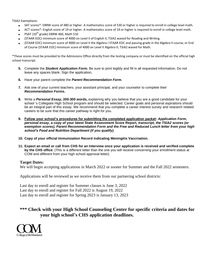TSIA2 Exemptions:

- SAT scores\*: EBRW score of 480 or higher. A mathematics score of 530 or higher is required to enroll in college level math.
- ACT scores\*: English score of 19 or higher. A mathematics score of 19 or higher is required to enroll in college level math.
- PSAT ( $10^{th}$  grade) EBRW 460, Math 510
- (STAAR EOC) minimum score of 4000 on Level II of English II, TSIA2 waved for Reading and Writing.
- (STAAR EOC) minimum score of 4000 on Level II the Algebra I STAAR EOC and passing grade in the Algebra II course; or End of Course (STAAR EOC) minimum score of 4000 on Level II Algebra II; TSIA2 waved for Math.

\*These scores must be provided to the Admissions Office directly from the testing company or must be identified on the official high school transcript.

- **5.** Complete the *Student Application Form***.** Be sure to print legibly and fill in all requested information. Do not leave any spaces blank. Sign the application**.**
- **6.** Have your parent complete the *Parent Recommendation Form.*
- **7.** Ask one of your current teachers, your assistant principal, and your counselor to complete their *Recommendation Form***s.**
- **8.** Write a *Personal Essay***, 200-300 words,** explaining why you believe that you are a good candidate for your school 's Collegiate High School program and should be selected. Career goals and personal aspirations should be an integral part of this essay. We recommend that you complete a career interest survey and research related careers to be sure that this career pathway is right for you.
- **9. Follow your school's procedures for submitting the completed application packet:** *Application Form***,**  *personal essay***, a copy of your latest State Assessment Score Report,** *transcript, the TSIA2 scores (or exemption scores), Parent Recommendation Form and the Free and Reduced Lunch letter from your high school's Food and Nutrition Department (if you qualify).*
- **10. Copy of your official Immunization Record indicating Meningitis Vaccination.**
- **11. Expect an email or call from CHS for an Interview once your application is received and verified complete by the CHS office.** (This is a different letter than the one you will receive concerning your enrollment status at COM and different from your high school approval letter).

#### **Target Dates:**

We will begin accepting applications in March 2022 or sooner for Summer and the Fall 2022 semesters.

Applications will be reviewed as we receive them from our partnering school districts:

Last day to enroll and register for Summer classes is June 3, 2022 Last day to enroll and register for Fall 2022 is August 19, 2022 Last day to enroll and register for Spring 2023 is January 13, 2023

#### **\*\*\* Check with your High School Counseling Center for specific criteria and dates for your high school's CHS application deadlines.**

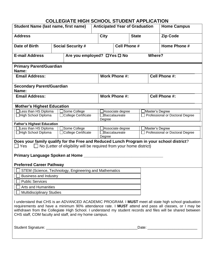### **COLLEGIATE HIGH SCHOOL STUDENT APPLICATION**

| <b>Student Name (last name, first name)</b>                                                                                                                                                                                                                                                                                                                                         |  | <b>Anticipated Year of Graduation</b>                                      |                     |                  |  |                   | <b>Home Campus</b> |                                 |  |  |
|-------------------------------------------------------------------------------------------------------------------------------------------------------------------------------------------------------------------------------------------------------------------------------------------------------------------------------------------------------------------------------------|--|----------------------------------------------------------------------------|---------------------|------------------|--|-------------------|--------------------|---------------------------------|--|--|
| <b>Address</b>                                                                                                                                                                                                                                                                                                                                                                      |  | <b>City</b>                                                                |                     | <b>State</b>     |  |                   | <b>Zip Code</b>    |                                 |  |  |
| Date of Birth<br><b>Social Security #</b>                                                                                                                                                                                                                                                                                                                                           |  |                                                                            | <b>Cell Phone #</b> |                  |  |                   | Home Phone #       |                                 |  |  |
| <b>E-mail Address</b><br>Are you employed? □ Yes □ No                                                                                                                                                                                                                                                                                                                               |  |                                                                            |                     |                  |  |                   | Where?             |                                 |  |  |
| <b>Primary Parent/Guardian</b><br>Name:                                                                                                                                                                                                                                                                                                                                             |  |                                                                            |                     |                  |  |                   |                    |                                 |  |  |
| <b>Email Address:</b>                                                                                                                                                                                                                                                                                                                                                               |  |                                                                            | Work Phone #:       |                  |  | Cell Phone #:     |                    |                                 |  |  |
| <b>Secondary Parent/Guardian</b><br>Name:                                                                                                                                                                                                                                                                                                                                           |  |                                                                            |                     |                  |  |                   |                    |                                 |  |  |
| <b>Email Address:</b>                                                                                                                                                                                                                                                                                                                                                               |  |                                                                            |                     | Work Phone #:    |  | Cell Phone #:     |                    |                                 |  |  |
| <b>Mother's Highest Education</b>                                                                                                                                                                                                                                                                                                                                                   |  |                                                                            |                     |                  |  |                   |                    |                                 |  |  |
| Less than HS Diploma                                                                                                                                                                                                                                                                                                                                                                |  | Some College                                                               | Associate degree    |                  |  | ∃Master's Degree  |                    |                                 |  |  |
| □High School Diploma                                                                                                                                                                                                                                                                                                                                                                |  | College Certificate                                                        | Degree              | Baccalaureate    |  |                   |                    | Professional or Doctoral Degree |  |  |
| <b>Father's Highest Education</b>                                                                                                                                                                                                                                                                                                                                                   |  |                                                                            |                     |                  |  |                   |                    |                                 |  |  |
| Less than HS Diploma                                                                                                                                                                                                                                                                                                                                                                |  | Some College                                                               |                     | Associate degree |  | _IMaster's Degree |                    |                                 |  |  |
| □High School Diploma                                                                                                                                                                                                                                                                                                                                                                |  | College Certificate                                                        | Degree              | Baccalaureate    |  |                   |                    | Professional or Doctoral Degree |  |  |
| Does your family qualify for the Free and Reduced Lunch Program in your school district?<br>  Yes                                                                                                                                                                                                                                                                                   |  | $\Box$ No (Letter of eligibility will be required from your home district) |                     |                  |  |                   |                    |                                 |  |  |
|                                                                                                                                                                                                                                                                                                                                                                                     |  |                                                                            |                     |                  |  |                   |                    |                                 |  |  |
| Primary Language Spoken at Home _                                                                                                                                                                                                                                                                                                                                                   |  |                                                                            |                     |                  |  |                   |                    |                                 |  |  |
| <b>Preferred Career Pathway</b>                                                                                                                                                                                                                                                                                                                                                     |  |                                                                            |                     |                  |  |                   |                    |                                 |  |  |
| STEM (Science, Technology, Engineering and Mathematics                                                                                                                                                                                                                                                                                                                              |  |                                                                            |                     |                  |  |                   |                    |                                 |  |  |
| <b>Business and Industry</b>                                                                                                                                                                                                                                                                                                                                                        |  |                                                                            |                     |                  |  |                   |                    |                                 |  |  |
| <b>Public Services</b>                                                                                                                                                                                                                                                                                                                                                              |  |                                                                            |                     |                  |  |                   |                    |                                 |  |  |
| <b>Arts and Humanities</b>                                                                                                                                                                                                                                                                                                                                                          |  |                                                                            |                     |                  |  |                   |                    |                                 |  |  |
| <b>Multidisciplinary Studies</b>                                                                                                                                                                                                                                                                                                                                                    |  |                                                                            |                     |                  |  |                   |                    |                                 |  |  |
| I understand that CHS is an ADVANCED ACADEMIC PROGRAM. I MUST meet all state high school graduation<br>requirements and have a minimum 90% attendance rate. I MUST attend and pass all classes, or I may be<br>withdrawn from the Collegiate High School. I understand my student records and files will be shared between<br>CHS staff, COM faculty and staff, and my home campus. |  |                                                                            |                     |                  |  |                   |                    |                                 |  |  |
|                                                                                                                                                                                                                                                                                                                                                                                     |  |                                                                            |                     |                  |  |                   |                    |                                 |  |  |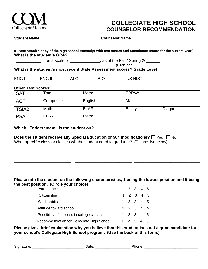

## **COLLEGIATE HIGH SCHOOL COUNSELOR RECOMMENDATION**

| <b>Student Name</b>       |                                                                                                                                                                                    |  | <b>Counselor Name</b> |                                                                |   |                       |                     |   |   |  |                                                                                                   |
|---------------------------|------------------------------------------------------------------------------------------------------------------------------------------------------------------------------------|--|-----------------------|----------------------------------------------------------------|---|-----------------------|---------------------|---|---|--|---------------------------------------------------------------------------------------------------|
|                           |                                                                                                                                                                                    |  |                       |                                                                |   |                       |                     |   |   |  |                                                                                                   |
|                           | (Please attach a copy of the high school transcript with test scores and attendance record for the current year.)                                                                  |  |                       |                                                                |   |                       |                     |   |   |  |                                                                                                   |
|                           | What is the student's GPA?                                                                                                                                                         |  |                       | on a scale of ______________, as of the Fall / Spring 20______ |   |                       |                     |   |   |  |                                                                                                   |
|                           |                                                                                                                                                                                    |  |                       | (Circle one)                                                   |   |                       |                     |   |   |  |                                                                                                   |
|                           | What is the student's most recent State Assessment scores? Grade Level ___                                                                                                         |  |                       |                                                                |   |                       |                     |   |   |  |                                                                                                   |
|                           | ENG I_______ ENG II _________ ALG I________ BIOL _________ US HIST _______                                                                                                         |  |                       |                                                                |   |                       |                     |   |   |  |                                                                                                   |
| <b>Other Test Scores:</b> |                                                                                                                                                                                    |  |                       |                                                                |   |                       |                     |   |   |  |                                                                                                   |
| <b>SAT</b>                | Total:                                                                                                                                                                             |  | Math:                 |                                                                |   |                       | EBRW:               |   |   |  |                                                                                                   |
| <b>ACT</b>                | Composite:                                                                                                                                                                         |  | English:              |                                                                |   | Math:                 |                     |   |   |  |                                                                                                   |
| TSIA <sub>2</sub>         | Math:                                                                                                                                                                              |  | ELAR:                 |                                                                |   |                       | Essay:              |   |   |  | Diagnostic:                                                                                       |
| <b>PSAT</b>               | EBRW:                                                                                                                                                                              |  | Math:                 |                                                                |   |                       |                     |   |   |  |                                                                                                   |
|                           | Does the student receive any Special Education or 504 modifications? $\Box$ Yes $\Box$ No<br>What specific class or classes will the student need to graduate? (Please list below) |  |                       |                                                                |   |                       |                     |   |   |  |                                                                                                   |
|                           |                                                                                                                                                                                    |  |                       |                                                                |   |                       |                     |   |   |  | Please rate the student on the following characteristics, 1 being the lowest position and 5 being |
|                           | the best position. (Circle your choice)<br>Attendance                                                                                                                              |  |                       |                                                                |   | $\mathbf{2}^{\prime}$ | $\mathbf{3}$        | 4 | 5 |  |                                                                                                   |
|                           | Citizenship                                                                                                                                                                        |  |                       |                                                                |   |                       | 1 2 3 4 5           |   |   |  |                                                                                                   |
|                           | Work habits                                                                                                                                                                        |  |                       |                                                                |   |                       | 1 2 3 4 5           |   |   |  |                                                                                                   |
|                           | Attitude toward school                                                                                                                                                             |  |                       |                                                                |   |                       | 1 2 3 4 5           |   |   |  |                                                                                                   |
|                           | Possibility of success in college classes                                                                                                                                          |  |                       |                                                                |   |                       | 1 2 3 4 5           |   |   |  |                                                                                                   |
|                           | Recommendation for Collegiate High School                                                                                                                                          |  |                       |                                                                | 1 |                       | $2 \quad 3 \quad 4$ |   | 5 |  |                                                                                                   |
|                           | your school's Collegiate High School program. (Use the back of this form.)                                                                                                         |  |                       |                                                                |   |                       |                     |   |   |  | Please give a brief explanation why you believe that this student is/is not a good candidate for  |
|                           |                                                                                                                                                                                    |  |                       |                                                                |   |                       |                     |   |   |  |                                                                                                   |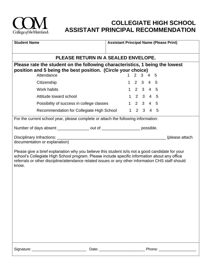

## **COLLEGIATE HIGH SCHOOL ASSISTANT PRINCIPAL RECOMMENDATION**

| <b>Assistant Principal Name (Please Print)</b><br><b>Student Name</b>                                                                                                                                                                                                                                            |                             |  |  |  |  |  |  |  |
|------------------------------------------------------------------------------------------------------------------------------------------------------------------------------------------------------------------------------------------------------------------------------------------------------------------|-----------------------------|--|--|--|--|--|--|--|
|                                                                                                                                                                                                                                                                                                                  |                             |  |  |  |  |  |  |  |
| PLEASE RETURN IN A SEALED ENVELOPE.<br>Please rate the student on the following characteristics, 1 being the lowest                                                                                                                                                                                              |                             |  |  |  |  |  |  |  |
| position and 5 being the best position. (Circle your choice)<br>Attendance                                                                                                                                                                                                                                       | $2 \quad 3 \quad 4 \quad 5$ |  |  |  |  |  |  |  |
| Citizenship                                                                                                                                                                                                                                                                                                      | 1 2 3 4 5                   |  |  |  |  |  |  |  |
| <b>Work habits</b>                                                                                                                                                                                                                                                                                               | 1 2 3 4 5                   |  |  |  |  |  |  |  |
| Attitude toward school                                                                                                                                                                                                                                                                                           | 1 2 3 4 5                   |  |  |  |  |  |  |  |
| Possibility of success in college classes                                                                                                                                                                                                                                                                        | 1 2 3 4 5                   |  |  |  |  |  |  |  |
| Recommendation for Collegiate High School 1 2 3 4 5                                                                                                                                                                                                                                                              |                             |  |  |  |  |  |  |  |
| For the current school year, please complete or attach the following information:                                                                                                                                                                                                                                |                             |  |  |  |  |  |  |  |
| Number of days absent _______________ out of ___________________ possible.                                                                                                                                                                                                                                       |                             |  |  |  |  |  |  |  |
| (please attach<br>documentation or explanation)                                                                                                                                                                                                                                                                  |                             |  |  |  |  |  |  |  |
| Please give a brief explanation why you believe this student is/ is not a good candidate for your<br>school's Collegiate High School program. Please include specific information about any office<br>referrals or other discipline/attendance related issues or any other information CHS staff should<br>know. |                             |  |  |  |  |  |  |  |
|                                                                                                                                                                                                                                                                                                                  |                             |  |  |  |  |  |  |  |
| Signature:<br>Date:                                                                                                                                                                                                                                                                                              | Phone:                      |  |  |  |  |  |  |  |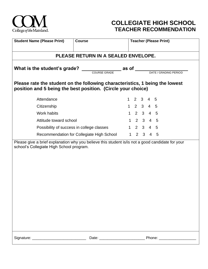

## **COLLEGIATE HIGH SCHOOL TEACHER RECOMMENDATION**

| <b>Student Name (Please Print)</b>                                                                                                           | <b>Course</b>                       |              | <b>Teacher (Please Print)</b>  |                         |                     |                |  |  |
|----------------------------------------------------------------------------------------------------------------------------------------------|-------------------------------------|--------------|--------------------------------|-------------------------|---------------------|----------------|--|--|
|                                                                                                                                              | PLEASE RETURN IN A SEALED ENVELOPE. |              |                                |                         |                     |                |  |  |
|                                                                                                                                              |                                     |              | as of<br>DATE / GRADING PERIOD |                         |                     |                |  |  |
| Please rate the student on the following characteristics, 1 being the lowest<br>position and 5 being the best position. (Circle your choice) |                                     |              |                                |                         |                     |                |  |  |
| Attendance                                                                                                                                   |                                     | $\mathbf{1}$ | 2                              | $\overline{\mathbf{3}}$ | 4                   | 5              |  |  |
| Citizenship                                                                                                                                  |                                     |              | $1 \quad 2 \quad 3 \quad 4$    |                         |                     | 5              |  |  |
| Work habits                                                                                                                                  |                                     | 1            |                                |                         | $2 \quad 3 \quad 4$ | $5\phantom{1}$ |  |  |
| Attitude toward school                                                                                                                       |                                     |              | 1 2 3 4 5                      |                         |                     |                |  |  |
| Possibility of success in college classes                                                                                                    |                                     |              | $1 \quad 2 \quad 3 \quad 4$    |                         |                     | 5              |  |  |
| Recommendation for Collegiate High School                                                                                                    |                                     |              |                                | $1 \quad 2 \quad 3$     | $\overline{4}$      | 5              |  |  |
| Please give a brief explanation why you believe this student is/is not a good candidate for your<br>school's Collegiate High School program. |                                     |              |                                |                         |                     |                |  |  |
|                                                                                                                                              |                                     |              |                                |                         |                     |                |  |  |